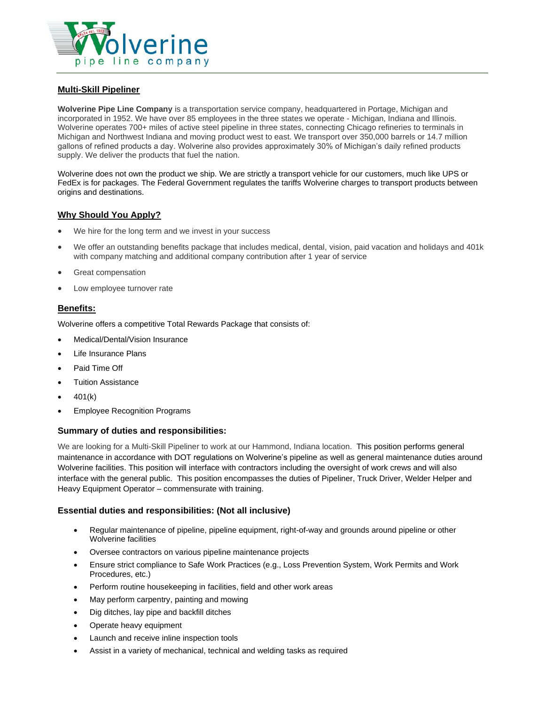

# **Multi-Skill Pipeliner**

**Wolverine Pipe Line Company** is a transportation service company, headquartered in Portage, Michigan and incorporated in 1952. We have over 85 employees in the three states we operate - Michigan, Indiana and Illinois. Wolverine operates 700+ miles of active steel pipeline in three states, connecting Chicago refineries to terminals in Michigan and Northwest Indiana and moving product west to east. We transport over 350,000 barrels or 14.7 million gallons of refined products a day. Wolverine also provides approximately 30% of Michigan's daily refined products supply. We deliver the products that fuel the nation.

Wolverine does not own the product we ship. We are strictly a transport vehicle for our customers, much like UPS or FedEx is for packages. The Federal Government regulates the tariffs Wolverine charges to transport products between origins and destinations.

# **Why Should You Apply?**

- We hire for the long term and we invest in your success
- We offer an outstanding benefits package that includes medical, dental, vision, paid vacation and holidays and 401k with company matching and additional company contribution after 1 year of service
- Great compensation
- Low employee turnover rate

## **Benefits:**

Wolverine offers a competitive Total Rewards Package that consists of:

- Medical/Dental/Vision Insurance
- Life Insurance Plans
- Paid Time Off
- Tuition Assistance
- $401(k)$
- Employee Recognition Programs

#### **Summary of duties and responsibilities:**

We are looking for a Multi-Skill Pipeliner to work at our Hammond, Indiana location. This position performs general maintenance in accordance with DOT regulations on Wolverine's pipeline as well as general maintenance duties around Wolverine facilities. This position will interface with contractors including the oversight of work crews and will also interface with the general public. This position encompasses the duties of Pipeliner, Truck Driver, Welder Helper and Heavy Equipment Operator – commensurate with training.

#### **Essential duties and responsibilities: (Not all inclusive)**

- Regular maintenance of pipeline, pipeline equipment, right-of-way and grounds around pipeline or other Wolverine facilities
- Oversee contractors on various pipeline maintenance projects
- Ensure strict compliance to Safe Work Practices (e.g., Loss Prevention System, Work Permits and Work Procedures, etc.)
- Perform routine housekeeping in facilities, field and other work areas
- May perform carpentry, painting and mowing
- Dig ditches, lay pipe and backfill ditches
- Operate heavy equipment
- Launch and receive inline inspection tools
- Assist in a variety of mechanical, technical and welding tasks as required